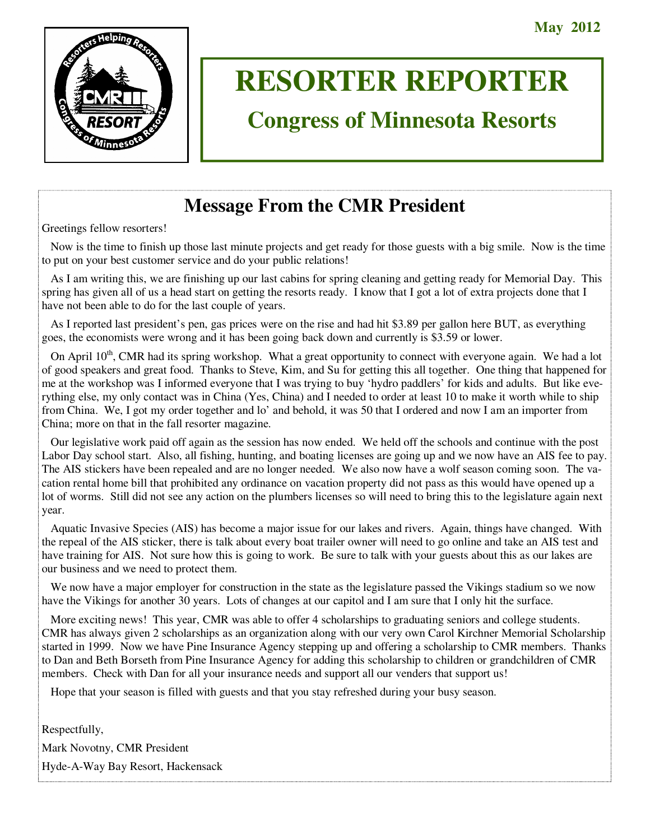

# **RESORTER REPORTER**

# **Congress of Minnesota Resorts**

# **Message From the CMR President**

Greetings fellow resorters!

 Now is the time to finish up those last minute projects and get ready for those guests with a big smile. Now is the time to put on your best customer service and do your public relations!

 As I am writing this, we are finishing up our last cabins for spring cleaning and getting ready for Memorial Day. This spring has given all of us a head start on getting the resorts ready. I know that I got a lot of extra projects done that I have not been able to do for the last couple of years.

 As I reported last president's pen, gas prices were on the rise and had hit \$3.89 per gallon here BUT, as everything goes, the economists were wrong and it has been going back down and currently is \$3.59 or lower.

On April  $10<sup>th</sup>$ , CMR had its spring workshop. What a great opportunity to connect with everyone again. We had a lot of good speakers and great food. Thanks to Steve, Kim, and Su for getting this all together. One thing that happened for me at the workshop was I informed everyone that I was trying to buy 'hydro paddlers' for kids and adults. But like everything else, my only contact was in China (Yes, China) and I needed to order at least 10 to make it worth while to ship from China. We, I got my order together and lo' and behold, it was 50 that I ordered and now I am an importer from China; more on that in the fall resorter magazine.

 Our legislative work paid off again as the session has now ended. We held off the schools and continue with the post Labor Day school start. Also, all fishing, hunting, and boating licenses are going up and we now have an AIS fee to pay. The AIS stickers have been repealed and are no longer needed. We also now have a wolf season coming soon. The vacation rental home bill that prohibited any ordinance on vacation property did not pass as this would have opened up a lot of worms. Still did not see any action on the plumbers licenses so will need to bring this to the legislature again next year.

 Aquatic Invasive Species (AIS) has become a major issue for our lakes and rivers. Again, things have changed. With the repeal of the AIS sticker, there is talk about every boat trailer owner will need to go online and take an AIS test and have training for AIS. Not sure how this is going to work. Be sure to talk with your guests about this as our lakes are our business and we need to protect them.

We now have a major employer for construction in the state as the legislature passed the Vikings stadium so we now have the Vikings for another 30 years. Lots of changes at our capitol and I am sure that I only hit the surface.

 More exciting news! This year, CMR was able to offer 4 scholarships to graduating seniors and college students. CMR has always given 2 scholarships as an organization along with our very own Carol Kirchner Memorial Scholarship started in 1999. Now we have Pine Insurance Agency stepping up and offering a scholarship to CMR members. Thanks to Dan and Beth Borseth from Pine Insurance Agency for adding this scholarship to children or grandchildren of CMR members. Check with Dan for all your insurance needs and support all our venders that support us!

Hope that your season is filled with guests and that you stay refreshed during your busy season.

Respectfully, Mark Novotny, CMR President Hyde-A-Way Bay Resort, Hackensack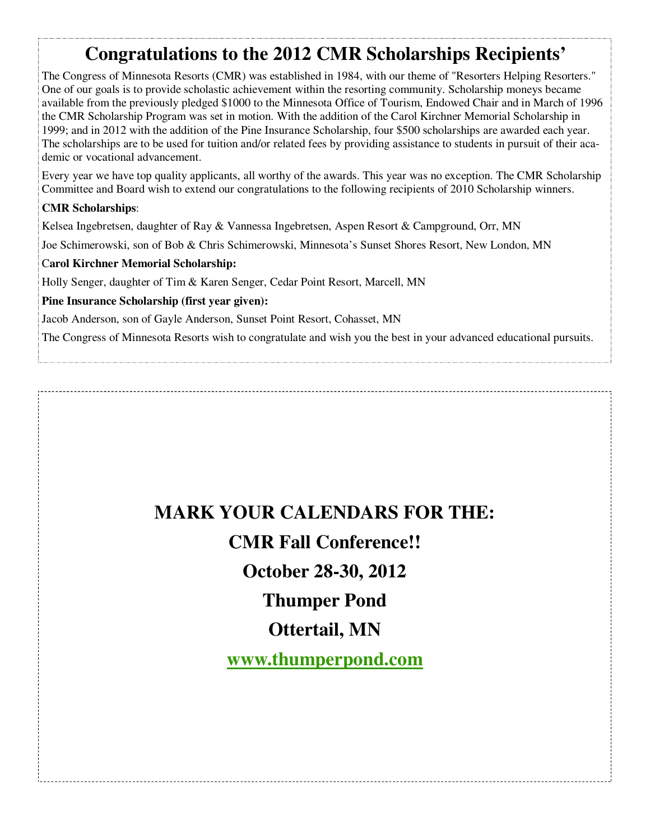# **Congratulations to the 2012 CMR Scholarships Recipients'**

The Congress of Minnesota Resorts (CMR) was established in 1984, with our theme of "Resorters Helping Resorters." One of our goals is to provide scholastic achievement within the resorting community. Scholarship moneys became available from the previously pledged \$1000 to the Minnesota Office of Tourism, Endowed Chair and in March of 1996 the CMR Scholarship Program was set in motion. With the addition of the Carol Kirchner Memorial Scholarship in 1999; and in 2012 with the addition of the Pine Insurance Scholarship, four \$500 scholarships are awarded each year. The scholarships are to be used for tuition and/or related fees by providing assistance to students in pursuit of their academic or vocational advancement.

Every year we have top quality applicants, all worthy of the awards. This year was no exception. The CMR Scholarship Committee and Board wish to extend our congratulations to the following recipients of 2010 Scholarship winners.

#### **CMR Scholarships**:

Kelsea Ingebretsen, daughter of Ray & Vannessa Ingebretsen, Aspen Resort & Campground, Orr, MN

Joe Schimerowski, son of Bob & Chris Schimerowski, Minnesota's Sunset Shores Resort, New London, MN

#### C**arol Kirchner Memorial Scholarship:**

Holly Senger, daughter of Tim & Karen Senger, Cedar Point Resort, Marcell, MN

#### **Pine Insurance Scholarship (first year given):**

Jacob Anderson, son of Gayle Anderson, Sunset Point Resort, Cohasset, MN

The Congress of Minnesota Resorts wish to congratulate and wish you the best in your advanced educational pursuits.

**MARK YOUR CALENDARS FOR THE:** 

# **CMR Fall Conference!!**

**October 28-30, 2012** 

**Thumper Pond** 

**Ottertail, MN** 

**www.thumperpond.com**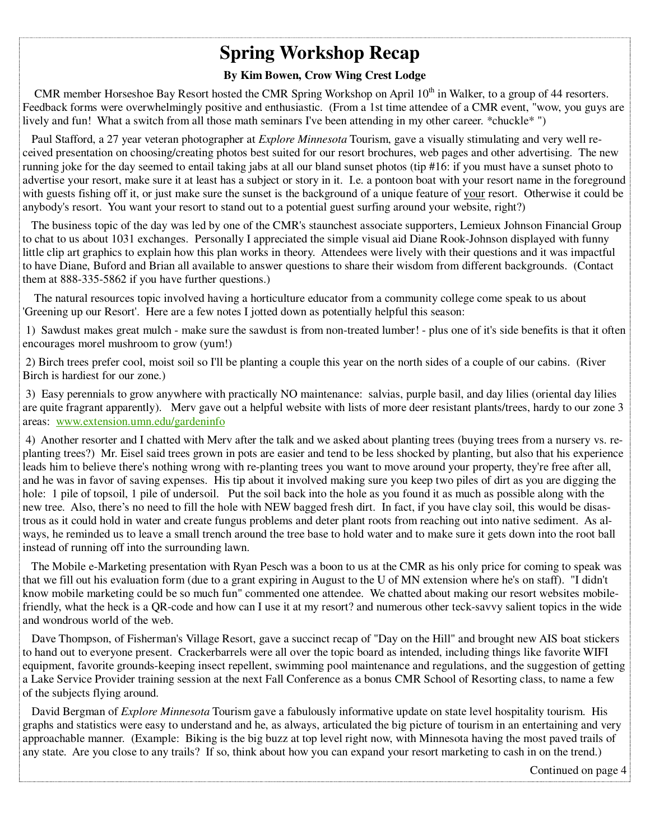# **Spring Workshop Recap**

#### **By Kim Bowen, Crow Wing Crest Lodge**

CMR member Horseshoe Bay Resort hosted the CMR Spring Workshop on April  $10<sup>th</sup>$  in Walker, to a group of 44 resorters. Feedback forms were overwhelmingly positive and enthusiastic. (From a 1st time attendee of a CMR event, "wow, you guys are lively and fun! What a switch from all those math seminars I've been attending in my other career. \*chuckle\* ")

 Paul Stafford, a 27 year veteran photographer at *Explore Minnesota* Tourism, gave a visually stimulating and very well received presentation on choosing/creating photos best suited for our resort brochures, web pages and other advertising. The new running joke for the day seemed to entail taking jabs at all our bland sunset photos (tip #16: if you must have a sunset photo to advertise your resort, make sure it at least has a subject or story in it. I.e. a pontoon boat with your resort name in the foreground with guests fishing off it, or just make sure the sunset is the background of a unique feature of your resort. Otherwise it could be anybody's resort. You want your resort to stand out to a potential guest surfing around your website, right?)

 The business topic of the day was led by one of the CMR's staunchest associate supporters, Lemieux Johnson Financial Group to chat to us about 1031 exchanges. Personally I appreciated the simple visual aid Diane Rook-Johnson displayed with funny little clip art graphics to explain how this plan works in theory. Attendees were lively with their questions and it was impactful to have Diane, Buford and Brian all available to answer questions to share their wisdom from different backgrounds. (Contact them at 888-335-5862 if you have further questions.)

 The natural resources topic involved having a horticulture educator from a community college come speak to us about 'Greening up our Resort'. Here are a few notes I jotted down as potentially helpful this season:

 1) Sawdust makes great mulch - make sure the sawdust is from non-treated lumber! - plus one of it's side benefits is that it often encourages morel mushroom to grow (yum!)

 2) Birch trees prefer cool, moist soil so I'll be planting a couple this year on the north sides of a couple of our cabins. (River Birch is hardiest for our zone.)

 3) Easy perennials to grow anywhere with practically NO maintenance: salvias, purple basil, and day lilies (oriental day lilies are quite fragrant apparently). Merv gave out a helpful website with lists of more deer resistant plants/trees, hardy to our zone 3 areas: www.extension.umn.edu/gardeninfo

 4) Another resorter and I chatted with Merv after the talk and we asked about planting trees (buying trees from a nursery vs. replanting trees?) Mr. Eisel said trees grown in pots are easier and tend to be less shocked by planting, but also that his experience leads him to believe there's nothing wrong with re-planting trees you want to move around your property, they're free after all, and he was in favor of saving expenses. His tip about it involved making sure you keep two piles of dirt as you are digging the hole: 1 pile of topsoil, 1 pile of undersoil. Put the soil back into the hole as you found it as much as possible along with the new tree. Also, there's no need to fill the hole with NEW bagged fresh dirt. In fact, if you have clay soil, this would be disastrous as it could hold in water and create fungus problems and deter plant roots from reaching out into native sediment. As always, he reminded us to leave a small trench around the tree base to hold water and to make sure it gets down into the root ball instead of running off into the surrounding lawn.

 The Mobile e-Marketing presentation with Ryan Pesch was a boon to us at the CMR as his only price for coming to speak was that we fill out his evaluation form (due to a grant expiring in August to the U of MN extension where he's on staff). "I didn't know mobile marketing could be so much fun" commented one attendee. We chatted about making our resort websites mobilefriendly, what the heck is a QR-code and how can I use it at my resort? and numerous other teck-savvy salient topics in the wide and wondrous world of the web.

 Dave Thompson, of Fisherman's Village Resort, gave a succinct recap of "Day on the Hill" and brought new AIS boat stickers to hand out to everyone present. Crackerbarrels were all over the topic board as intended, including things like favorite WIFI equipment, favorite grounds-keeping insect repellent, swimming pool maintenance and regulations, and the suggestion of getting a Lake Service Provider training session at the next Fall Conference as a bonus CMR School of Resorting class, to name a few of the subjects flying around.

 David Bergman of *Explore Minnesota* Tourism gave a fabulously informative update on state level hospitality tourism. His graphs and statistics were easy to understand and he, as always, articulated the big picture of tourism in an entertaining and very approachable manner. (Example: Biking is the big buzz at top level right now, with Minnesota having the most paved trails of any state. Are you close to any trails? If so, think about how you can expand your resort marketing to cash in on the trend.)

Continued on page 4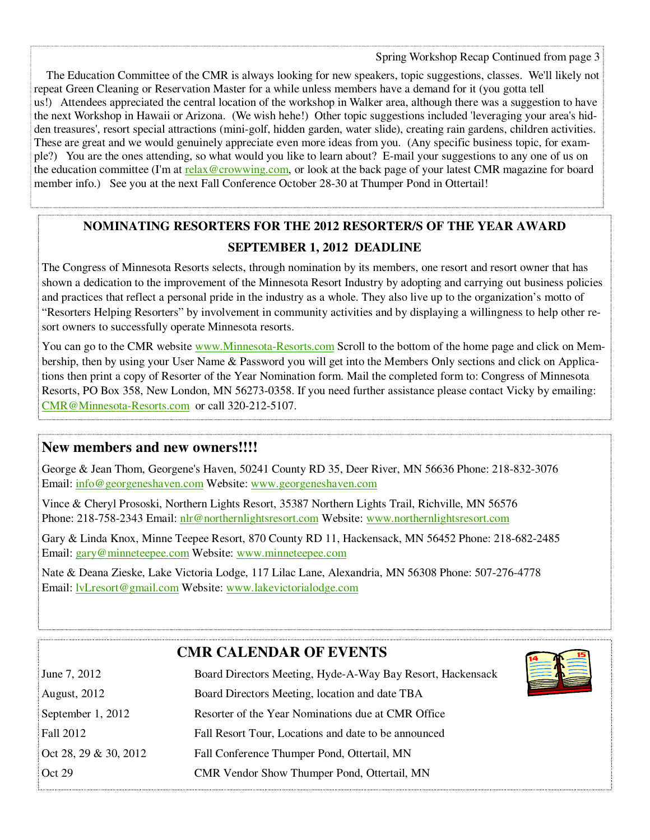The Education Committee of the CMR is always looking for new speakers, topic suggestions, classes. We'll likely not repeat Green Cleaning or Reservation Master for a while unless members have a demand for it (you gotta tell us!) Attendees appreciated the central location of the workshop in Walker area, although there was a suggestion to have the next Workshop in Hawaii or Arizona. (We wish hehe!) Other topic suggestions included 'leveraging your area's hidden treasures', resort special attractions (mini-golf, hidden garden, water slide), creating rain gardens, children activities. These are great and we would genuinely appreciate even more ideas from you. (Any specific business topic, for example?) You are the ones attending, so what would you like to learn about? E-mail your suggestions to any one of us on the education committee (I'm at relax@crowwing.com, or look at the back page of your latest CMR magazine for board member info.) See you at the next Fall Conference October 28-30 at Thumper Pond in Ottertail!

### **NOMINATING RESORTERS FOR THE 2012 RESORTER/S OF THE YEAR AWARD SEPTEMBER 1, 2012 DEADLINE**

The Congress of Minnesota Resorts selects, through nomination by its members, one resort and resort owner that has shown a dedication to the improvement of the Minnesota Resort Industry by adopting and carrying out business policies and practices that reflect a personal pride in the industry as a whole. They also live up to the organization's motto of "Resorters Helping Resorters" by involvement in community activities and by displaying a willingness to help other resort owners to successfully operate Minnesota resorts.

You can go to the CMR website www.Minnesota-Resorts.com Scroll to the bottom of the home page and click on Membership, then by using your User Name & Password you will get into the Members Only sections and click on Applications then print a copy of Resorter of the Year Nomination form. Mail the completed form to: Congress of Minnesota Resorts, PO Box 358, New London, MN 56273-0358. If you need further assistance please contact Vicky by emailing: CMR@Minnesota-Resorts.com or call 320-212-5107.

#### **New members and new owners!!!!**

George & Jean Thom, Georgene's Haven, 50241 County RD 35, Deer River, MN 56636 Phone: 218-832-3076 Email: info@georgeneshaven.com Website: www.georgeneshaven.com

Vince & Cheryl Prososki, Northern Lights Resort, 35387 Northern Lights Trail, Richville, MN 56576 Phone: 218-758-2343 Email: nlr@northernlightsresort.com Website: www.northernlightsresort.com

Gary & Linda Knox, Minne Teepee Resort, 870 County RD 11, Hackensack, MN 56452 Phone: 218-682-2485 Email: gary@minneteepee.com Website: www.minneteepee.com

Nate & Deana Zieske, Lake Victoria Lodge, 117 Lilac Lane, Alexandria, MN 56308 Phone: 507-276-4778 Email: lvLresort@gmail.com Website: www.lakevictorialodge.com

### **CMR CALENDAR OF EVENTS**

| June 7, 2012          | <b>THE MANNER</b><br>Board Directors Meeting, Hyde-A-Way Bay Resort, Hackensack |
|-----------------------|---------------------------------------------------------------------------------|
| <b>August, 2012</b>   | Board Directors Meeting, location and date TBA                                  |
| September 1, 2012     | Resorter of the Year Nominations due at CMR Office                              |
| <b>Fall 2012</b>      | Fall Resort Tour, Locations and date to be announced                            |
| Oct 28, 29 & 30, 2012 | Fall Conference Thumper Pond, Ottertail, MN                                     |
| Oct 29                | CMR Vendor Show Thumper Pond, Ottertail, MN                                     |
|                       |                                                                                 |